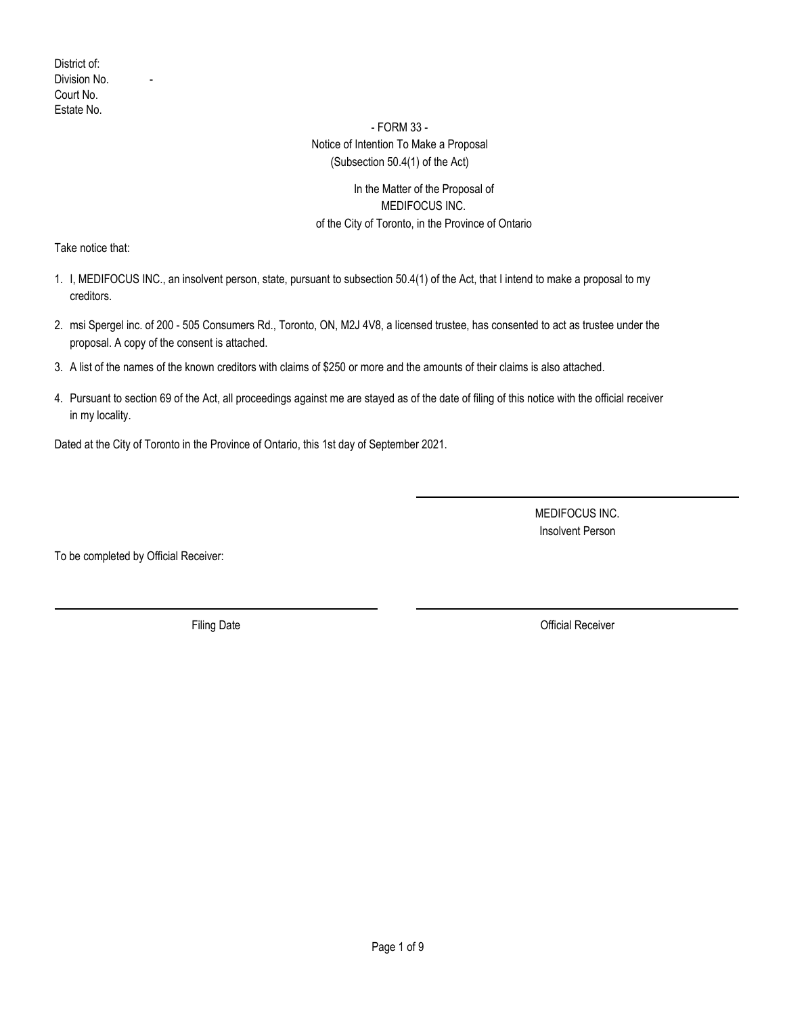### - FORM 33 -

#### Notice of Intention To Make a Proposal (Subsection 50.4(1) of the Act)

### In the Matter of the Proposal of MEDIFOCUS INC. of the City of Toronto, in the Province of Ontario

Take notice that:

- I, MEDIFOCUS INC., an insolvent person, state, pursuant to subsection 50.4(1) of the Act, that I intend to make a proposal to my 1. creditors.
- 2. msi Spergel inc. of 200 505 Consumers Rd., Toronto, ON, M2J 4V8, a licensed trustee, has consented to act as trustee under the proposal. A copy of the consent is attached.
- 3. A list of the names of the known creditors with claims of \$250 or more and the amounts of their claims is also attached.
- 4. Pursuant to section 69 of the Act, all proceedings against me are stayed as of the date of filing of this notice with the official receiver in my locality.

Dated at the City of Toronto in the Province of Ontario, this 1st day of September 2021.

MEDIFOCUS INC. Insolvent Person

To be completed by Official Receiver:

Filing Date **Official Receiver**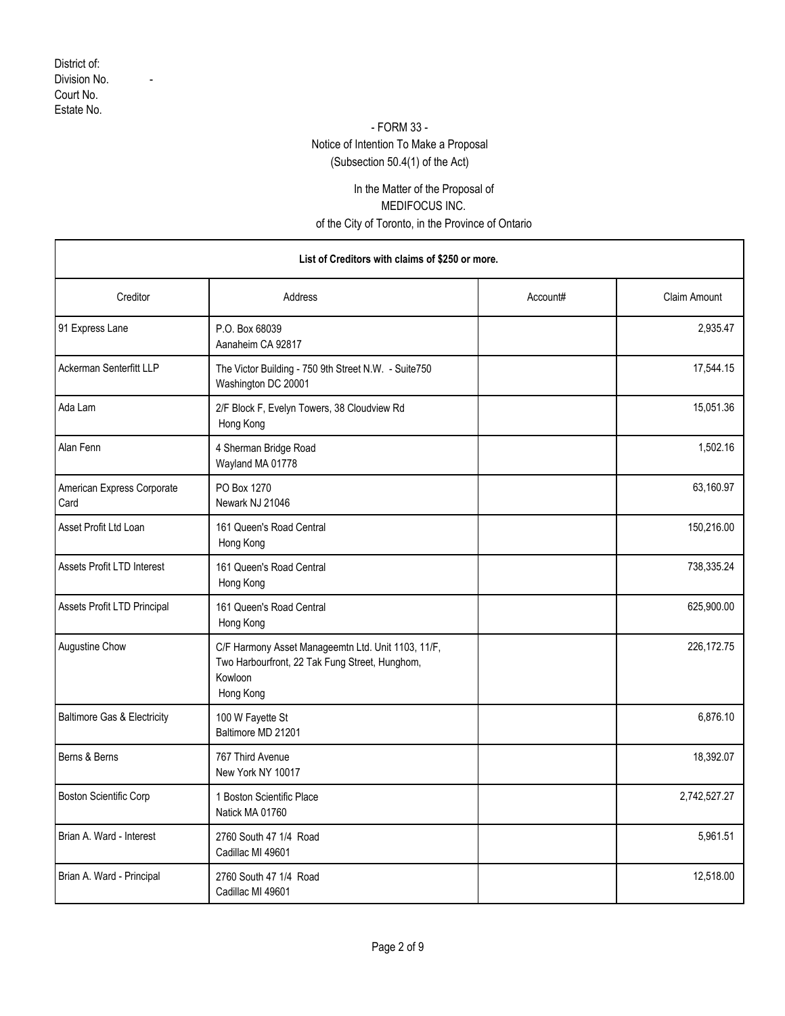### - FORM 33 -

# Notice of Intention To Make a Proposal

(Subsection 50.4(1) of the Act)

## In the Matter of the Proposal of MEDIFOCUS INC. of the City of Toronto, in the Province of Ontario

| List of Creditors with claims of \$250 or more. |                                                                                                                              |          |                     |
|-------------------------------------------------|------------------------------------------------------------------------------------------------------------------------------|----------|---------------------|
| Creditor                                        | Address                                                                                                                      | Account# | <b>Claim Amount</b> |
| 91 Express Lane                                 | P.O. Box 68039<br>Aanaheim CA 92817                                                                                          |          | 2,935.47            |
| Ackerman Senterfitt LLP                         | The Victor Building - 750 9th Street N.W. - Suite750<br>Washington DC 20001                                                  |          | 17,544.15           |
| Ada Lam                                         | 2/F Block F, Evelyn Towers, 38 Cloudview Rd<br>Hong Kong                                                                     |          | 15,051.36           |
| Alan Fenn                                       | 4 Sherman Bridge Road<br>Wayland MA 01778                                                                                    |          | 1,502.16            |
| American Express Corporate<br>Card              | PO Box 1270<br>Newark NJ 21046                                                                                               |          | 63,160.97           |
| Asset Profit Ltd Loan                           | 161 Queen's Road Central<br>Hong Kong                                                                                        |          | 150,216.00          |
| Assets Profit LTD Interest                      | 161 Queen's Road Central<br>Hong Kong                                                                                        |          | 738,335.24          |
| Assets Profit LTD Principal                     | 161 Queen's Road Central<br>Hong Kong                                                                                        |          | 625,900.00          |
| Augustine Chow                                  | C/F Harmony Asset Manageemtn Ltd. Unit 1103, 11/F,<br>Two Harbourfront, 22 Tak Fung Street, Hunghom,<br>Kowloon<br>Hong Kong |          | 226,172.75          |
| <b>Baltimore Gas &amp; Electricity</b>          | 100 W Fayette St<br>Baltimore MD 21201                                                                                       |          | 6,876.10            |
| Berns & Berns                                   | 767 Third Avenue<br>New York NY 10017                                                                                        |          | 18,392.07           |
| Boston Scientific Corp                          | 1 Boston Scientific Place<br>Natick MA 01760                                                                                 |          | 2,742,527.27        |
| Brian A. Ward - Interest                        | 2760 South 47 1/4 Road<br>Cadillac MI 49601                                                                                  |          | 5,961.51            |
| Brian A. Ward - Principal                       | 2760 South 47 1/4 Road<br>Cadillac MI 49601                                                                                  |          | 12,518.00           |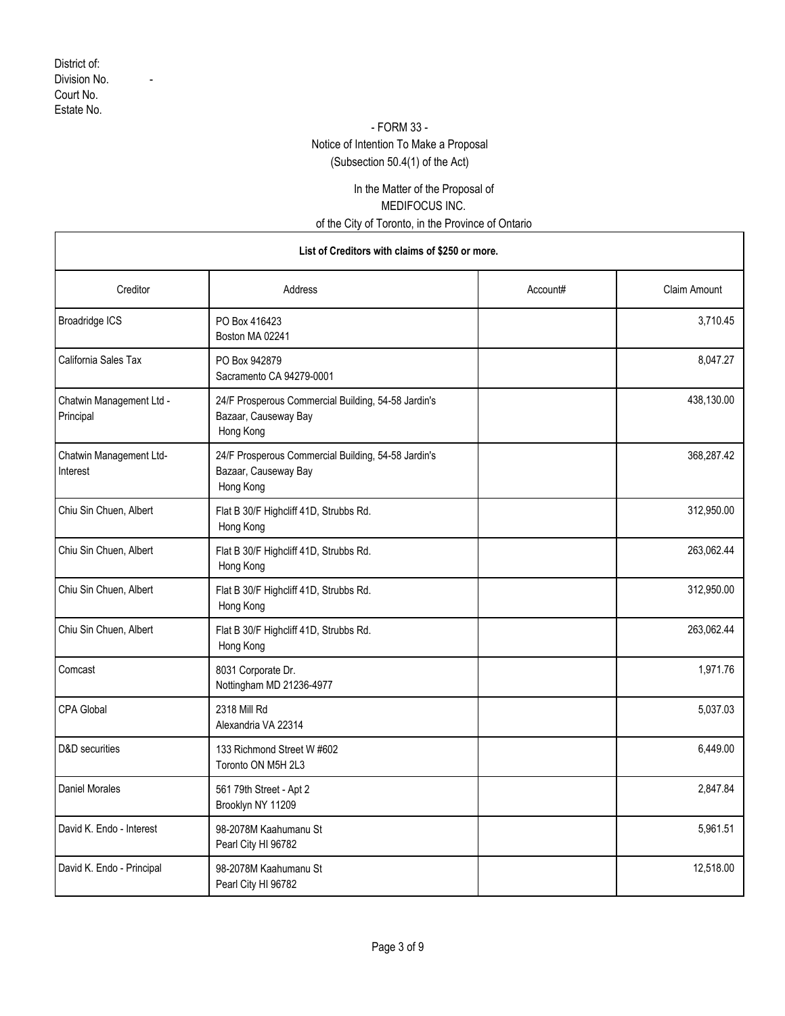### - FORM 33 -

## Notice of Intention To Make a Proposal

(Subsection 50.4(1) of the Act)

### In the Matter of the Proposal of MEDIFOCUS INC. of the City of Toronto, in the Province of Ontario

| Creditor                              | Address                                                                                  | Account# | Claim Amount |
|---------------------------------------|------------------------------------------------------------------------------------------|----------|--------------|
| <b>Broadridge ICS</b>                 | PO Box 416423<br>Boston MA 02241                                                         |          | 3,710.45     |
| California Sales Tax                  | PO Box 942879<br>Sacramento CA 94279-0001                                                |          | 8,047.27     |
| Chatwin Management Ltd -<br>Principal | 24/F Prosperous Commercial Building, 54-58 Jardin's<br>Bazaar, Causeway Bay<br>Hong Kong |          | 438,130.00   |
| Chatwin Management Ltd-<br>Interest   | 24/F Prosperous Commercial Building, 54-58 Jardin's<br>Bazaar, Causeway Bay<br>Hong Kong |          | 368,287.42   |
| Chiu Sin Chuen, Albert                | Flat B 30/F Highcliff 41D, Strubbs Rd.<br>Hong Kong                                      |          | 312,950.00   |
| Chiu Sin Chuen, Albert                | Flat B 30/F Highcliff 41D, Strubbs Rd.<br>Hong Kong                                      |          | 263,062.44   |
| Chiu Sin Chuen, Albert                | Flat B 30/F Highcliff 41D, Strubbs Rd.<br>Hong Kong                                      |          | 312,950.00   |
| Chiu Sin Chuen, Albert                | Flat B 30/F Highcliff 41D, Strubbs Rd.<br>Hong Kong                                      |          | 263,062.44   |
| Comcast                               | 8031 Corporate Dr.<br>Nottingham MD 21236-4977                                           |          | 1,971.76     |
| <b>CPA Global</b>                     | 2318 Mill Rd<br>Alexandria VA 22314                                                      |          | 5,037.03     |
| D&D securities                        | 133 Richmond Street W #602<br>Toronto ON M5H 2L3                                         |          | 6,449.00     |
| <b>Daniel Morales</b>                 | 561 79th Street - Apt 2<br>Brooklyn NY 11209                                             |          | 2,847.84     |
| David K. Endo - Interest              | 98-2078M Kaahumanu St<br>Pearl City HI 96782                                             |          | 5,961.51     |
| David K. Endo - Principal             | 98-2078M Kaahumanu St<br>Pearl City HI 96782                                             |          | 12,518.00    |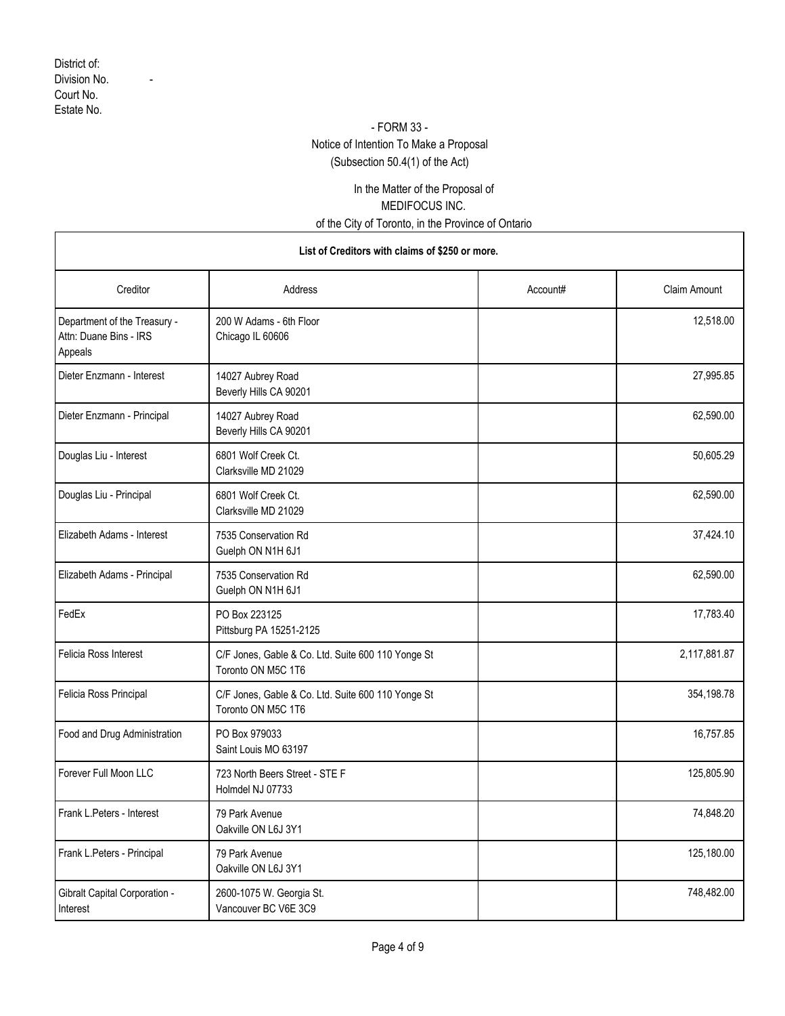### - FORM 33 -

# Notice of Intention To Make a Proposal

(Subsection 50.4(1) of the Act)

## In the Matter of the Proposal of MEDIFOCUS INC. of the City of Toronto, in the Province of Ontario

| Creditor                                                          | Address                                                                  | Account# | <b>Claim Amount</b> |
|-------------------------------------------------------------------|--------------------------------------------------------------------------|----------|---------------------|
| Department of the Treasury -<br>Attn: Duane Bins - IRS<br>Appeals | 200 W Adams - 6th Floor<br>Chicago IL 60606                              |          | 12,518.00           |
| Dieter Enzmann - Interest                                         | 14027 Aubrey Road<br>Beverly Hills CA 90201                              |          | 27,995.85           |
| Dieter Enzmann - Principal                                        | 14027 Aubrey Road<br>Beverly Hills CA 90201                              |          | 62,590.00           |
| Douglas Liu - Interest                                            | 6801 Wolf Creek Ct.<br>Clarksville MD 21029                              |          | 50,605.29           |
| Douglas Liu - Principal                                           | 6801 Wolf Creek Ct.<br>Clarksville MD 21029                              |          | 62,590.00           |
| Elizabeth Adams - Interest                                        | 7535 Conservation Rd<br>Guelph ON N1H 6J1                                |          | 37,424.10           |
| Elizabeth Adams - Principal                                       | 7535 Conservation Rd<br>Guelph ON N1H 6J1                                |          | 62,590.00           |
| FedEx                                                             | PO Box 223125<br>Pittsburg PA 15251-2125                                 |          | 17,783.40           |
| Felicia Ross Interest                                             | C/F Jones, Gable & Co. Ltd. Suite 600 110 Yonge St<br>Toronto ON M5C 1T6 |          | 2,117,881.87        |
| Felicia Ross Principal                                            | C/F Jones, Gable & Co. Ltd. Suite 600 110 Yonge St<br>Toronto ON M5C 1T6 |          | 354,198.78          |
| Food and Drug Administration                                      | PO Box 979033<br>Saint Louis MO 63197                                    |          | 16,757.85           |
| Forever Full Moon LLC                                             | 723 North Beers Street - STE F<br>Holmdel NJ 07733                       |          | 125,805.90          |
| Frank L. Peters - Interest                                        | 79 Park Avenue<br>Oakville ON L6J 3Y1                                    |          | 74,848.20           |
| Frank L.Peters - Principal                                        | 79 Park Avenue<br>Oakville ON L6J 3Y1                                    |          | 125,180.00          |
| Gibralt Capital Corporation -<br>Interest                         | 2600-1075 W. Georgia St.<br>Vancouver BC V6E 3C9                         |          | 748,482.00          |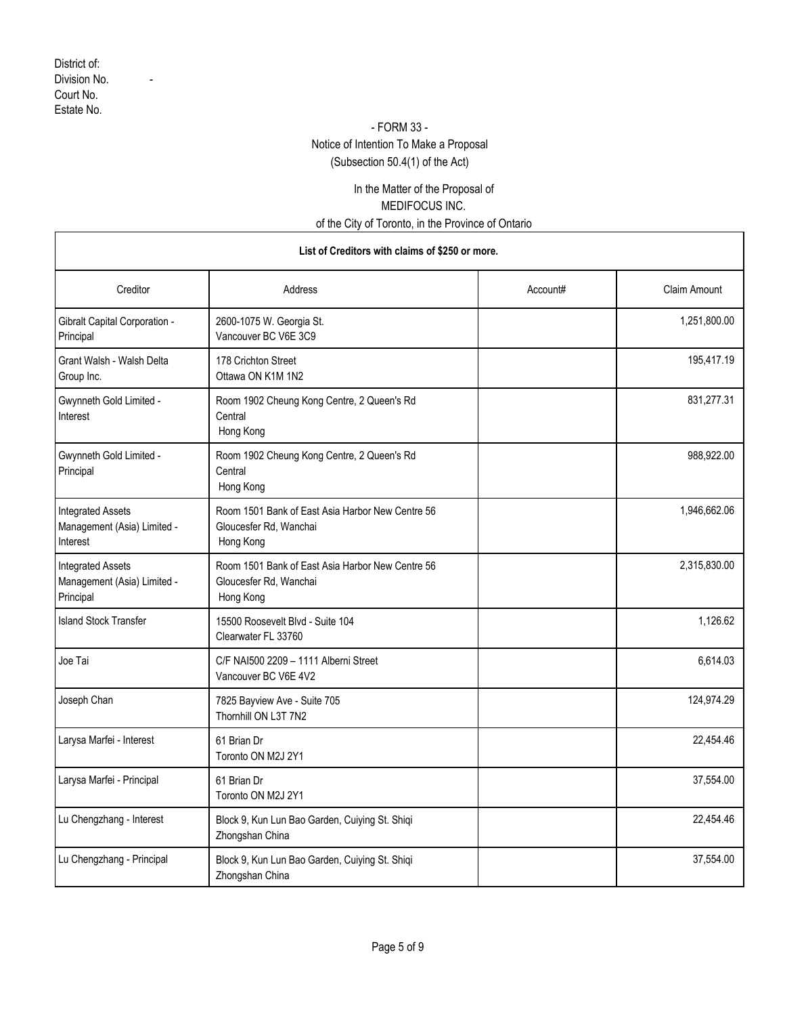### - FORM 33 -

## Notice of Intention To Make a Proposal

(Subsection 50.4(1) of the Act)

## In the Matter of the Proposal of MEDIFOCUS INC. of the City of Toronto, in the Province of Ontario

| Creditor                                                             | Address                                                                                 | Account# | <b>Claim Amount</b> |
|----------------------------------------------------------------------|-----------------------------------------------------------------------------------------|----------|---------------------|
| <b>Gibralt Capital Corporation -</b><br>Principal                    | 2600-1075 W. Georgia St.<br>Vancouver BC V6E 3C9                                        |          | 1,251,800.00        |
| Grant Walsh - Walsh Delta<br>Group Inc.                              | 178 Crichton Street<br>Ottawa ON K1M 1N2                                                |          | 195,417.19          |
| Gwynneth Gold Limited -<br>Interest                                  | Room 1902 Cheung Kong Centre, 2 Queen's Rd<br>Central<br>Hong Kong                      |          | 831,277.31          |
| Gwynneth Gold Limited -<br>Principal                                 | Room 1902 Cheung Kong Centre, 2 Queen's Rd<br>Central<br>Hong Kong                      |          | 988,922.00          |
| <b>Integrated Assets</b><br>Management (Asia) Limited -<br>Interest  | Room 1501 Bank of East Asia Harbor New Centre 56<br>Gloucesfer Rd, Wanchai<br>Hong Kong |          | 1,946,662.06        |
| <b>Integrated Assets</b><br>Management (Asia) Limited -<br>Principal | Room 1501 Bank of East Asia Harbor New Centre 56<br>Gloucesfer Rd, Wanchai<br>Hong Kong |          | 2,315,830.00        |
| <b>Island Stock Transfer</b>                                         | 15500 Roosevelt Blvd - Suite 104<br>Clearwater FL 33760                                 |          | 1,126.62            |
| Joe Tai                                                              | C/F NAI500 2209 - 1111 Alberni Street<br>Vancouver BC V6E 4V2                           |          | 6,614.03            |
| Joseph Chan                                                          | 7825 Bayview Ave - Suite 705<br>Thornhill ON L3T 7N2                                    |          | 124,974.29          |
| Larysa Marfei - Interest                                             | 61 Brian Dr<br>Toronto ON M2J 2Y1                                                       |          | 22,454.46           |
| Larysa Marfei - Principal                                            | 61 Brian Dr<br>Toronto ON M2J 2Y1                                                       |          | 37,554.00           |
| Lu Chengzhang - Interest                                             | Block 9, Kun Lun Bao Garden, Cuiying St. Shiqi<br>Zhongshan China                       |          | 22.454.46           |
| Lu Chengzhang - Principal                                            | Block 9, Kun Lun Bao Garden, Cuiying St. Shiqi<br>Zhongshan China                       |          | 37,554.00           |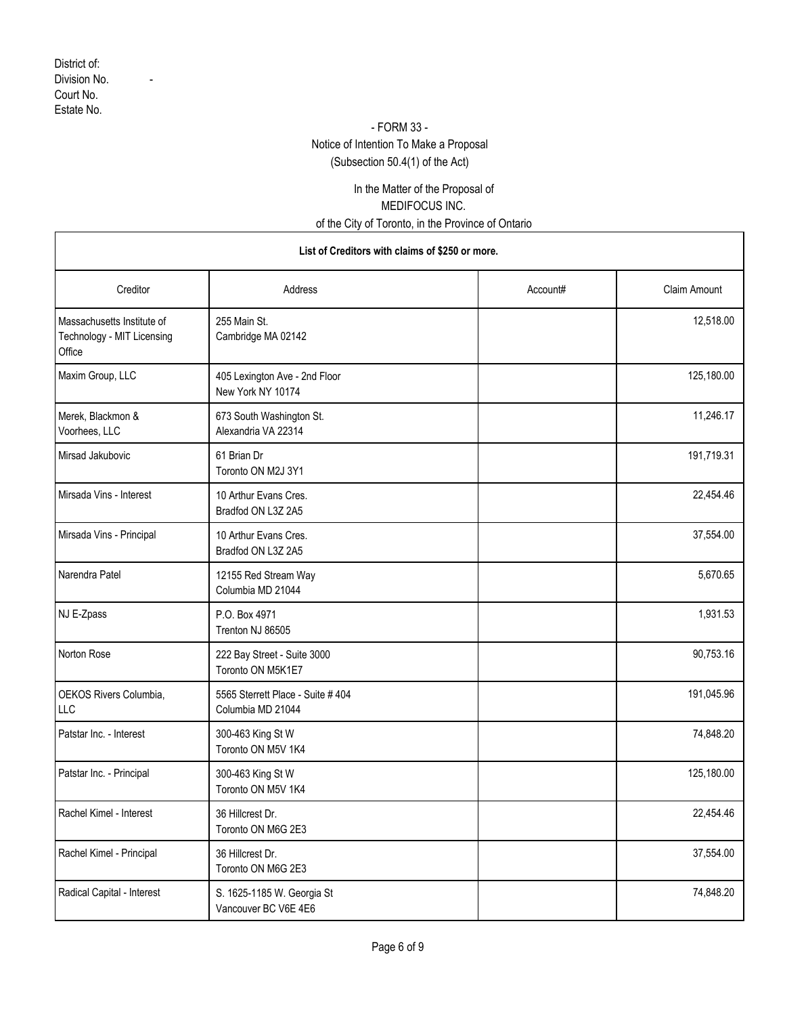### - FORM 33 -

# Notice of Intention To Make a Proposal

(Subsection 50.4(1) of the Act)

## In the Matter of the Proposal of MEDIFOCUS INC. of the City of Toronto, in the Province of Ontario

| Creditor                                                           | Address                                                | Account# | <b>Claim Amount</b> |
|--------------------------------------------------------------------|--------------------------------------------------------|----------|---------------------|
| Massachusetts Institute of<br>Technology - MIT Licensing<br>Office | 255 Main St.<br>Cambridge MA 02142                     |          | 12,518.00           |
| Maxim Group, LLC                                                   | 405 Lexington Ave - 2nd Floor<br>New York NY 10174     |          | 125,180.00          |
| Merek, Blackmon &<br>Voorhees, LLC                                 | 673 South Washington St.<br>Alexandria VA 22314        |          | 11,246.17           |
| Mirsad Jakubovic                                                   | 61 Brian Dr<br>Toronto ON M2J 3Y1                      |          | 191,719.31          |
| Mirsada Vins - Interest                                            | 10 Arthur Evans Cres.<br>Bradfod ON L3Z 2A5            |          | 22,454.46           |
| Mirsada Vins - Principal                                           | 10 Arthur Evans Cres.<br>Bradfod ON L3Z 2A5            |          | 37,554.00           |
| Narendra Patel                                                     | 12155 Red Stream Way<br>Columbia MD 21044              |          | 5,670.65            |
| NJ E-Zpass                                                         | P.O. Box 4971<br>Trenton NJ 86505                      |          | 1,931.53            |
| Norton Rose                                                        | 222 Bay Street - Suite 3000<br>Toronto ON M5K1E7       |          | 90,753.16           |
| OEKOS Rivers Columbia,<br>LLC                                      | 5565 Sterrett Place - Suite # 404<br>Columbia MD 21044 |          | 191,045.96          |
| Patstar Inc. - Interest                                            | 300-463 King St W<br>Toronto ON M5V 1K4                |          | 74,848.20           |
| Patstar Inc. - Principal                                           | 300-463 King St W<br>Toronto ON M5V 1K4                |          | 125,180.00          |
| Rachel Kimel - Interest                                            | 36 Hillcrest Dr.<br>Toronto ON M6G 2E3                 |          | 22,454.46           |
| Rachel Kimel - Principal                                           | 36 Hillcrest Dr.<br>Toronto ON M6G 2E3                 |          | 37,554.00           |
| Radical Capital - Interest                                         | S. 1625-1185 W. Georgia St<br>Vancouver BC V6E 4E6     |          | 74,848.20           |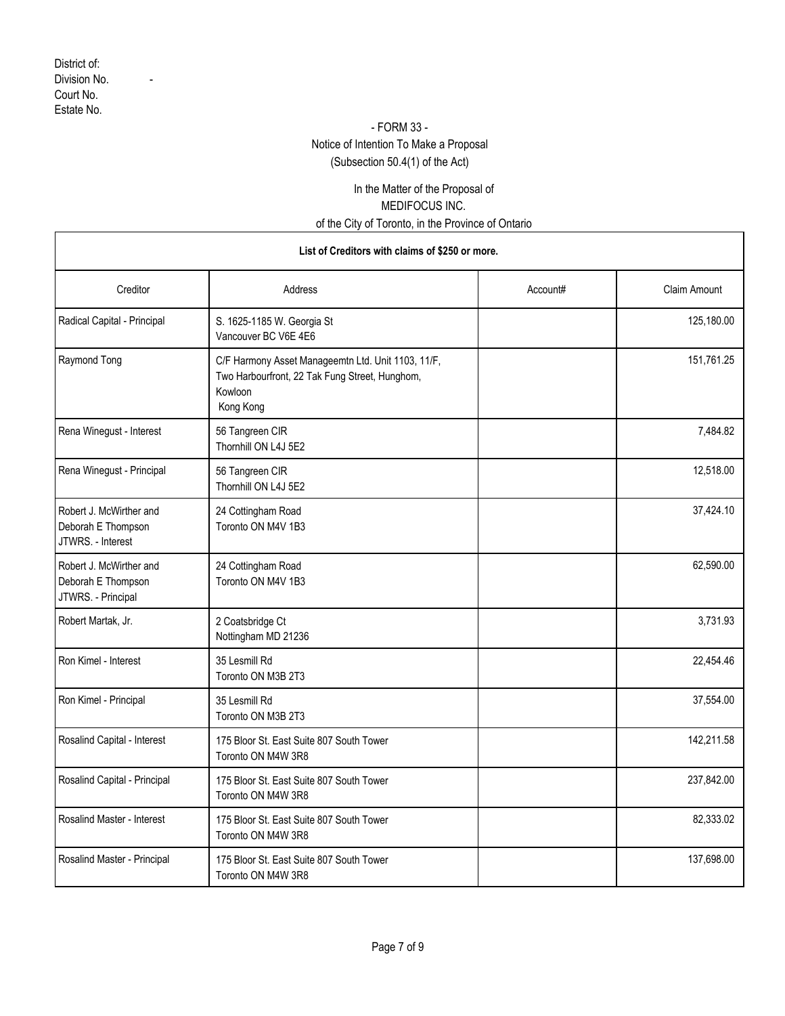### - FORM 33 -

## Notice of Intention To Make a Proposal

(Subsection 50.4(1) of the Act)

## In the Matter of the Proposal of MEDIFOCUS INC. of the City of Toronto, in the Province of Ontario

| Creditor                                                            | Address                                                                                                                      | Account# | Claim Amount |
|---------------------------------------------------------------------|------------------------------------------------------------------------------------------------------------------------------|----------|--------------|
| Radical Capital - Principal                                         | S. 1625-1185 W. Georgia St<br>Vancouver BC V6E 4E6                                                                           |          | 125,180.00   |
| Raymond Tong                                                        | C/F Harmony Asset Manageemtn Ltd. Unit 1103, 11/F,<br>Two Harbourfront, 22 Tak Fung Street, Hunghom,<br>Kowloon<br>Kong Kong |          | 151,761.25   |
| Rena Winegust - Interest                                            | 56 Tangreen CIR<br>Thornhill ON L4J 5E2                                                                                      |          | 7,484.82     |
| Rena Winegust - Principal                                           | 56 Tangreen CIR<br>Thornhill ON L4J 5E2                                                                                      |          | 12,518.00    |
| Robert J. McWirther and<br>Deborah E Thompson<br>JTWRS. - Interest  | 24 Cottingham Road<br>Toronto ON M4V 1B3                                                                                     |          | 37,424.10    |
| Robert J. McWirther and<br>Deborah E Thompson<br>JTWRS. - Principal | 24 Cottingham Road<br>Toronto ON M4V 1B3                                                                                     |          | 62,590.00    |
| Robert Martak, Jr.                                                  | 2 Coatsbridge Ct<br>Nottingham MD 21236                                                                                      |          | 3,731.93     |
| Ron Kimel - Interest                                                | 35 Lesmill Rd<br>Toronto ON M3B 2T3                                                                                          |          | 22,454.46    |
| Ron Kimel - Principal                                               | 35 Lesmill Rd<br>Toronto ON M3B 2T3                                                                                          |          | 37,554.00    |
| Rosalind Capital - Interest                                         | 175 Bloor St. East Suite 807 South Tower<br>Toronto ON M4W 3R8                                                               |          | 142,211.58   |
| Rosalind Capital - Principal                                        | 175 Bloor St. East Suite 807 South Tower<br>Toronto ON M4W 3R8                                                               |          | 237,842.00   |
| Rosalind Master - Interest                                          | 175 Bloor St. East Suite 807 South Tower<br>Toronto ON M4W 3R8                                                               |          | 82,333.02    |
| Rosalind Master - Principal                                         | 175 Bloor St. East Suite 807 South Tower<br>Toronto ON M4W 3R8                                                               |          | 137,698.00   |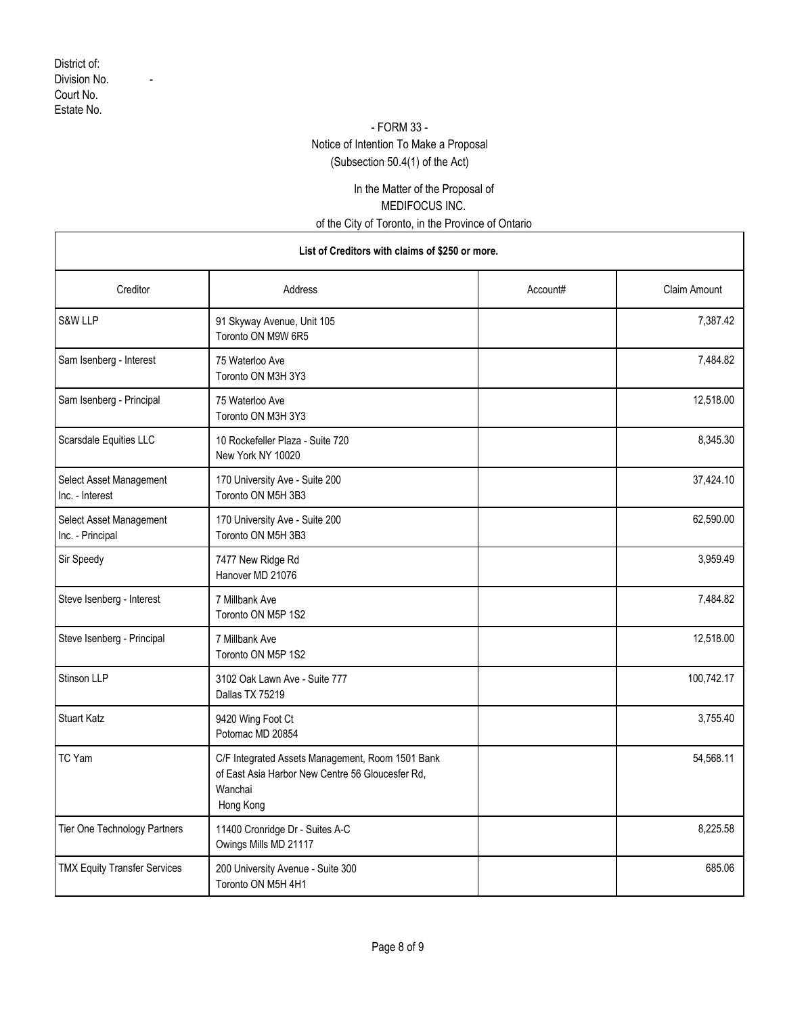### - FORM 33 -

# Notice of Intention To Make a Proposal

(Subsection 50.4(1) of the Act)

### In the Matter of the Proposal of MEDIFOCUS INC. of the City of Toronto, in the Province of Ontario

| Creditor                                    | Address                                                                                                                      | Account# | <b>Claim Amount</b> |
|---------------------------------------------|------------------------------------------------------------------------------------------------------------------------------|----------|---------------------|
| S&W LLP                                     | 91 Skyway Avenue, Unit 105<br>Toronto ON M9W 6R5                                                                             |          | 7,387.42            |
| Sam Isenberg - Interest                     | 75 Waterloo Ave<br>Toronto ON M3H 3Y3                                                                                        |          | 7,484.82            |
| Sam Isenberg - Principal                    | 75 Waterloo Ave<br>Toronto ON M3H 3Y3                                                                                        |          | 12,518.00           |
| Scarsdale Equities LLC                      | 10 Rockefeller Plaza - Suite 720<br>New York NY 10020                                                                        |          | 8,345.30            |
| Select Asset Management<br>Inc. - Interest  | 170 University Ave - Suite 200<br>Toronto ON M5H 3B3                                                                         |          | 37,424.10           |
| Select Asset Management<br>Inc. - Principal | 170 University Ave - Suite 200<br>Toronto ON M5H 3B3                                                                         |          | 62,590.00           |
| Sir Speedy                                  | 7477 New Ridge Rd<br>Hanover MD 21076                                                                                        |          | 3,959.49            |
| Steve Isenberg - Interest                   | 7 Millbank Ave<br>Toronto ON M5P 1S2                                                                                         |          | 7,484.82            |
| Steve Isenberg - Principal                  | 7 Millbank Ave<br>Toronto ON M5P 1S2                                                                                         |          | 12,518.00           |
| Stinson LLP                                 | 3102 Oak Lawn Ave - Suite 777<br>Dallas TX 75219                                                                             |          | 100,742.17          |
| <b>Stuart Katz</b>                          | 9420 Wing Foot Ct<br>Potomac MD 20854                                                                                        |          | 3,755.40            |
| TC Yam                                      | C/F Integrated Assets Management, Room 1501 Bank<br>of East Asia Harbor New Centre 56 Gloucesfer Rd,<br>Wanchai<br>Hong Kong |          | 54,568.11           |
| Tier One Technology Partners                | 11400 Cronridge Dr - Suites A-C<br>Owings Mills MD 21117                                                                     |          | 8,225.58            |
| <b>TMX Equity Transfer Services</b>         | 200 University Avenue - Suite 300<br>Toronto ON M5H 4H1                                                                      |          | 685.06              |